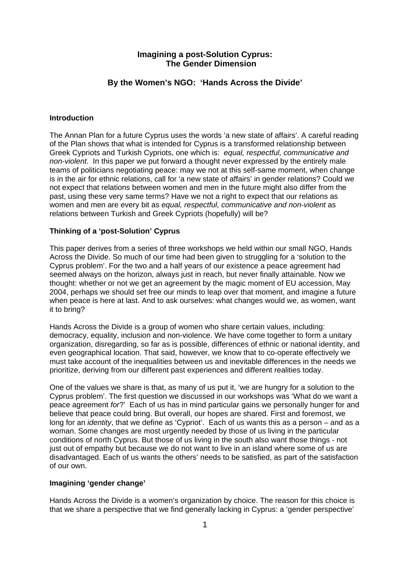# **Imagining a post-Solution Cyprus: The Gender Dimension**

# **By the Women's NGO: 'Hands Across the Divide'**

### **Introduction**

The Annan Plan for a future Cyprus uses the words 'a new state of affairs'. A careful reading of the Plan shows that what is intended for Cyprus is a transformed relationship between Greek Cypriots and Turkish Cypriots, one which is: *equal, respectful, communicative and non-violent*. In this paper we put forward a thought never expressed by the entirely male teams of politicians negotiating peace: may we not at this self-same moment, when change is in the air for ethnic relations, call for 'a new state of affairs' in gender relations? Could we not expect that relations between women and men in the future might also differ from the past, using these very same terms? Have we not a right to expect that our relations as women and men are every bit as *equal, respectful, communicative and non-violent* as relations between Turkish and Greek Cypriots (hopefully) will be?

# **Thinking of a 'post-Solution' Cyprus**

This paper derives from a series of three workshops we held within our small NGO, Hands Across the Divide. So much of our time had been given to struggling for a 'solution to the Cyprus problem'. For the two and a half years of our existence a peace agreement had seemed always on the horizon, always just in reach, but never finally attainable. Now we thought: whether or not we get an agreement by the magic moment of EU accession, May 2004, perhaps we should set free our minds to leap over that moment, and imagine a future when peace is here at last. And to ask ourselves: what changes would we, as women, want it to bring?

Hands Across the Divide is a group of women who share certain values, including: democracy, equality, inclusion and non-violence. We have come together to form a unitary organization, disregarding, so far as is possible, differences of ethnic or national identity, and even geographical location. That said, however, we know that to co-operate effectively we must take account of the inequalities between us and inevitable differences in the needs we prioritize, deriving from our different past experiences and different realities today.

One of the values we share is that, as many of us put it, 'we are hungry for a solution to the Cyprus problem'. The first question we discussed in our workshops was 'What do we want a peace agreement *for*?' Each of us has in mind particular gains we personally hunger for and believe that peace could bring. But overall, our hopes are shared. First and foremost, we long for an *identity*, that we define as 'Cypriot'. Each of us wants this as a person – and as a woman. Some changes are most urgently needed by those of us living in the particular conditions of north Cyprus. But those of us living in the south also want those things - not just out of empathy but because we do not want to live in an island where some of us are disadvantaged. Each of us wants the others' needs to be satisfied, as part of the satisfaction of our own.

### **Imagining 'gender change'**

Hands Across the Divide is a women's organization by choice. The reason for this choice is that we share a perspective that we find generally lacking in Cyprus: a 'gender perspective'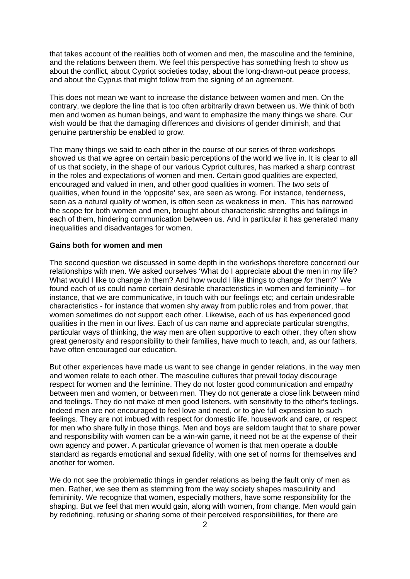that takes account of the realities both of women and men, the masculine and the feminine, and the relations between them. We feel this perspective has something fresh to show us about the conflict, about Cypriot societies today, about the long-drawn-out peace process, and about the Cyprus that might follow from the signing of an agreement.

This does not mean we want to increase the distance between women and men. On the contrary, we deplore the line that is too often arbitrarily drawn between us. We think of both men and women as human beings, and want to emphasize the many things we share. Our wish would be that the damaging differences and divisions of gender diminish, and that genuine partnership be enabled to grow.

The many things we said to each other in the course of our series of three workshops showed us that we agree on certain basic perceptions of the world we live in. It is clear to all of us that society, in the shape of our various Cypriot cultures, has marked a sharp contrast in the roles and expectations of women and men. Certain good qualities are expected, encouraged and valued in men, and other good qualities in women. The two sets of qualities, when found in the 'opposite' sex, are seen as wrong. For instance, tenderness, seen as a natural quality of women, is often seen as weakness in men. This has narrowed the scope for both women and men, brought about characteristic strengths and failings in each of them, hindering communication between us. And in particular it has generated many inequalities and disadvantages for women.

#### **Gains both for women and men**

The second question we discussed in some depth in the workshops therefore concerned our relationships with men. We asked ourselves 'What do I appreciate about the men in my life? What would I like to change *in* them? And how would I like things to change *for* them?' We found each of us could name certain desirable characteristics in women and femininity – for instance, that we are communicative, in touch with our feelings etc; and certain undesirable characteristics - for instance that women shy away from public roles and from power, that women sometimes do not support each other. Likewise, each of us has experienced good qualities in the men in our lives. Each of us can name and appreciate particular strengths, particular ways of thinking, the way men are often supportive to each other, they often show great generosity and responsibility to their families, have much to teach, and, as our fathers, have often encouraged our education.

But other experiences have made us want to see change in gender relations, in the way men and women relate to each other. The masculine cultures that prevail today discourage respect for women and the feminine. They do not foster good communication and empathy between men and women, or between men. They do not generate a close link between mind and feelings. They do not make of men good listeners, with sensitivity to the other's feelings. Indeed men are not encouraged to feel love and need, or to give full expression to such feelings. They are not imbued with respect for domestic life, housework and care, or respect for men who share fully in those things. Men and boys are seldom taught that to share power and responsibility with women can be a win-win game, it need not be at the expense of their own agency and power. A particular grievance of women is that men operate a double standard as regards emotional and sexual fidelity, with one set of norms for themselves and another for women.

We do not see the problematic things in gender relations as being the fault only of men as men. Rather, we see them as stemming from the way society shapes masculinity and femininity. We recognize that women, especially mothers, have some responsibility for the shaping. But we feel that men would gain, along with women, from change. Men would gain by redefining, refusing or sharing some of their perceived responsibilities, for there are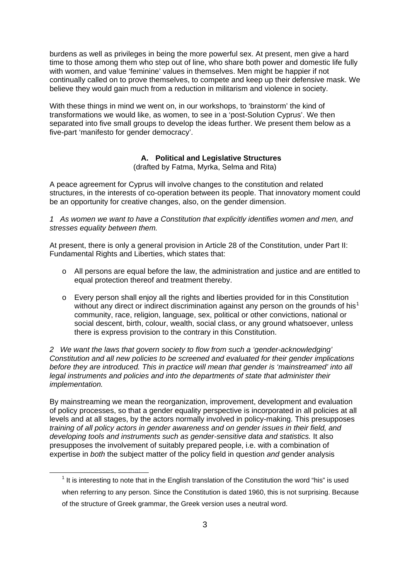burdens as well as privileges in being the more powerful sex. At present, men give a hard time to those among them who step out of line, who share both power and domestic life fully with women, and value 'feminine' values in themselves. Men might be happier if not continually called on to prove themselves, to compete and keep up their defensive mask. We believe they would gain much from a reduction in militarism and violence in society.

With these things in mind we went on, in our workshops, to 'brainstorm' the kind of transformations we would like, as women, to see in a 'post-Solution Cyprus'. We then separated into five small groups to develop the ideas further. We present them below as a five-part 'manifesto for gender democracy'.

### **A. Political and Legislative Structures**

(drafted by Fatma, Myrka, Selma and Rita)

A peace agreement for Cyprus will involve changes to the constitution and related structures, in the interests of co-operation between its people. That innovatory moment could be an opportunity for creative changes, also, on the gender dimension.

*1 As women we want to have a Constitution that explicitly identifies women and men, and stresses equality between them.* 

At present, there is only a general provision in Article 28 of the Constitution, under Part II: Fundamental Rights and Liberties, which states that:

- o All persons are equal before the law, the administration and justice and are entitled to equal protection thereof and treatment thereby.
- o Every person shall enjoy all the rights and liberties provided for in this Constitution without any direct or indirect discrimination against any person on the grounds of his<sup>[1](#page-2-0)</sup> community, race, religion, language, sex, political or other convictions, national or social descent, birth, colour, wealth, social class, or any ground whatsoever, unless there is express provision to the contrary in this Constitution.

*2 We want the laws that govern society to flow from such a 'gender-acknowledging' Constitution and all new policies to be screened and evaluated for their gender implications before they are introduced. This in practice will mean that gender is 'mainstreamed' into all legal instruments and policies and into the departments of state that administer their implementation.* 

By mainstreaming we mean the reorganization, improvement, development and evaluation of policy processes, so that a gender equality perspective is incorporated in all policies at all levels and at all stages, by the actors normally involved in policy-making. This presupposes *training of all policy actors in gender awareness and on gender issues in their field, and developing tools and instruments such as gender-sensitive data and statistics.* It also presupposes the involvement of suitably prepared people, i.e. with a combination of expertise in *both* the subject matter of the policy field in question *and* gender analysis

<span id="page-2-0"></span>1

 $<sup>1</sup>$  It is interesting to note that in the English translation of the Constitution the word "his" is used</sup> when referring to any person. Since the Constitution is dated 1960, this is not surprising. Because of the structure of Greek grammar, the Greek version uses a neutral word.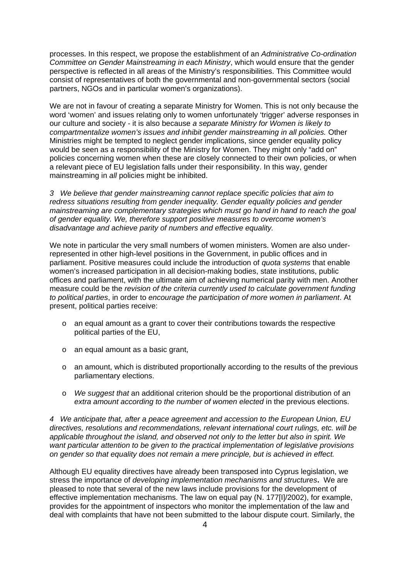processes. In this respect, we propose the establishment of an *Administrative Co-ordination Committee on Gender Mainstreaming in each Ministry*, which would ensure that the gender perspective is reflected in all areas of the Ministry's responsibilities. This Committee would consist of representatives of both the governmental and non-governmental sectors (social partners, NGOs and in particular women's organizations).

We are not in favour of creating a separate Ministry for Women. This is not only because the word 'women' and issues relating only to women unfortunately 'trigger' adverse responses in our culture and society - it is also because *a separate Ministry for Women is likely to compartmentalize women's issues and inhibit gender mainstreaming in all policies.* Other Ministries might be tempted to neglect gender implications, since gender equality policy would be seen as a responsibility of the Ministry for Women. They might only "add on" policies concerning women when these are closely connected to their own policies, or when a relevant piece of EU legislation falls under their responsibility. In this way, gender mainstreaming in *all* policies might be inhibited.

*3 We believe that gender mainstreaming cannot replace specific policies that aim to redress situations resulting from gender inequality. Gender equality policies and gender mainstreaming are complementary strategies which must go hand in hand to reach the goal of gender equality. We, therefore support positive measures to overcome women's disadvantage and achieve parity of numbers and effective equality.* 

We note in particular the very small numbers of women ministers. Women are also underrepresented in other high-level positions in the Government, in public offices and in parliament. Positive measures could include the introduction of *quota systems* that enable women's increased participation in all decision-making bodies, state institutions, public offices and parliament, with the ultimate aim of achieving numerical parity with men. Another measure could be the *revision of the criteria currently used to calculate government funding to political parties*, in order to *encourage the participation of more women in parliament*. At present, political parties receive:

- o an equal amount as a grant to cover their contributions towards the respective political parties of the EU,
- o an equal amount as a basic grant,
- o an amount, which is distributed proportionally according to the results of the previous parliamentary elections.
- o *We suggest that* an additional criterion should be the proportional distribution of an *extra amount according to the number of women elected* in the previous elections.

*4 We anticipate that, after a peace agreement and accession to the European Union, EU directives, resolutions and recommendations, relevant international court rulings, etc. will be applicable throughout the island, and observed not only to the letter but also in spirit. We want particular attention to be given to the practical implementation of legislative provisions on gender so that equality does not remain a mere principle, but is achieved in effect.* 

Although EU equality directives have already been transposed into Cyprus legislation, we stress the importance of *developing implementation mechanisms and structures***.** We are pleased to note that several of the new laws include provisions for the development of effective implementation mechanisms. The law on equal pay (N. 177[I]/2002), for example, provides for the appointment of inspectors who monitor the implementation of the law and deal with complaints that have not been submitted to the labour dispute court. Similarly, the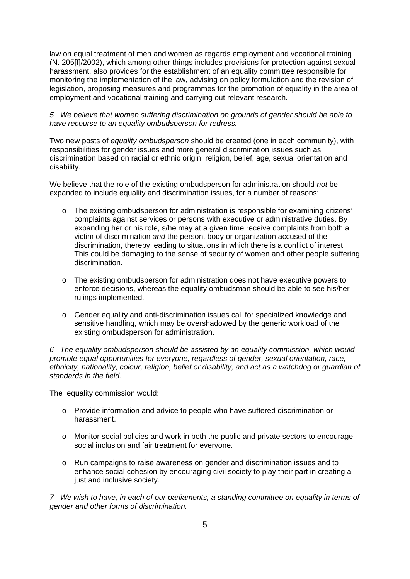law on equal treatment of men and women as regards employment and vocational training (N. 205[I]/2002), which among other things includes provisions for protection against sexual harassment, also provides for the establishment of an equality committee responsible for monitoring the implementation of the law, advising on policy formulation and the revision of legislation, proposing measures and programmes for the promotion of equality in the area of employment and vocational training and carrying out relevant research.

*5 We believe that women suffering discrimination on grounds of gender should be able to have recourse to an equality ombudsperson for redress.* 

Two new posts of *equality ombudsperson* should be created (one in each community), with responsibilities for gender issues and more general discrimination issues such as discrimination based on racial or ethnic origin, religion, belief, age, sexual orientation and disability.

We believe that the role of the existing ombudsperson for administration should *not* be expanded to include equality and discrimination issues, for a number of reasons:

- o The existing ombudsperson for administration is responsible for examining citizens' complaints against services or persons with executive or administrative duties. By expanding her or his role, s/he may at a given time receive complaints from both a victim of discrimination *and* the person, body or organization accused of the discrimination, thereby leading to situations in which there is a conflict of interest. This could be damaging to the sense of security of women and other people suffering discrimination.
- o The existing ombudsperson for administration does not have executive powers to enforce decisions, whereas the equality ombudsman should be able to see his/her rulings implemented.
- o Gender equality and anti-discrimination issues call for specialized knowledge and sensitive handling, which may be overshadowed by the generic workload of the existing ombudsperson for administration.

*6 The equality ombudsperson should be assisted by an equality commission, which would promote equal opportunities for everyone, regardless of gender, sexual orientation, race, ethnicity, nationality, colour, religion, belief or disability, and act as a watchdog or guardian of standards in the field.* 

The equality commission would:

- o Provide information and advice to people who have suffered discrimination or harassment.
- o Monitor social policies and work in both the public and private sectors to encourage social inclusion and fair treatment for everyone.
- o Run campaigns to raise awareness on gender and discrimination issues and to enhance social cohesion by encouraging civil society to play their part in creating a just and inclusive society.

*7 We wish to have, in each of our parliaments, a standing committee on equality in terms of gender and other forms of discrimination.*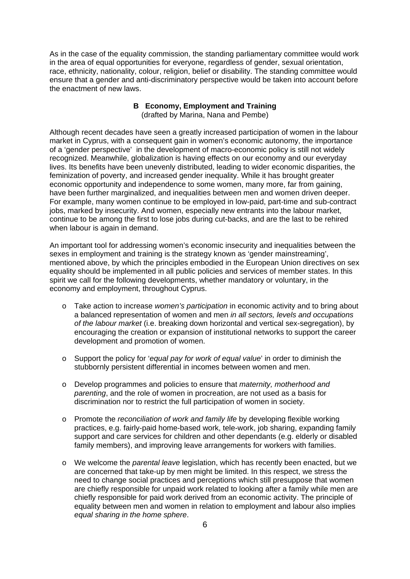As in the case of the equality commission, the standing parliamentary committee would work in the area of equal opportunities for everyone, regardless of gender, sexual orientation, race, ethnicity, nationality, colour, religion, belief or disability. The standing committee would ensure that a gender and anti-discriminatory perspective would be taken into account before the enactment of new laws.

### **B Economy, Employment and Training**  (drafted by Marina, Nana and Pembe)

Although recent decades have seen a greatly increased participation of women in the labour market in Cyprus, with a consequent gain in women's economic autonomy, the importance of a 'gender perspective' in the development of macro-economic policy is still not widely recognized. Meanwhile, globalization is having effects on our economy and our everyday lives. Its benefits have been unevenly distributed, leading to wider economic disparities, the feminization of poverty, and increased gender inequality. While it has brought greater economic opportunity and independence to some women, many more, far from gaining, have been further marginalized, and inequalities between men and women driven deeper. For example, many women continue to be employed in low-paid, part-time and sub-contract jobs, marked by insecurity. And women, especially new entrants into the labour market, continue to be among the first to lose jobs during cut-backs, and are the last to be rehired when labour is again in demand.

An important tool for addressing women's economic insecurity and inequalities between the sexes in employment and training is the strategy known as 'gender mainstreaming', mentioned above, by which the principles embodied in the European Union directives on sex equality should be implemented in all public policies and services of member states. In this spirit we call for the following developments, whether mandatory or voluntary, in the economy and employment, throughout Cyprus.

- o Take action to increase *women's participation* in economic activity and to bring about a balanced representation of women and men *in all sectors, levels and occupations of the labour market* (i.e. breaking down horizontal and vertical sex-segregation), by encouraging the creation or expansion of institutional networks to support the career development and promotion of women.
- o Support the policy for '*equal pay for work of equal value*' in order to diminish the stubbornly persistent differential in incomes between women and men.
- o Develop programmes and policies to ensure that *maternity, motherhood and parenting*, and the role of women in procreation, are not used as a basis for discrimination nor to restrict the full participation of women in society.
- o Promote the *reconciliation of work and family life* by developing flexible working practices, e.g. fairly-paid home-based work, tele-work, job sharing, expanding family support and care services for children and other dependants (e.g. elderly or disabled family members), and improving leave arrangements for workers with families.
- o We welcome the *parental leave* legislation, which has recently been enacted, but we are concerned that take-up by men might be limited. In this respect, we stress the need to change social practices and perceptions which still presuppose that women are chiefly responsible for unpaid work related to looking after a family while men are chiefly responsible for paid work derived from an economic activity. The principle of equality between men and women in relation to employment and labour also implies *equal sharing in the home sphere*.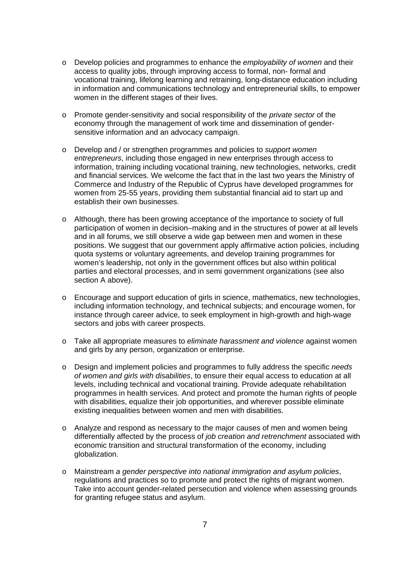- o Develop policies and programmes to enhance the *employability of women* and their access to quality jobs, through improving access to formal, non- formal and vocational training, lifelong learning and retraining, long-distance education including in information and communications technology and entrepreneurial skills, to empower women in the different stages of their lives.
- o Promote gender-sensitivity and social responsibility of the *private sector* of the economy through the management of work time and dissemination of gendersensitive information and an advocacy campaign.
- o Develop and / or strengthen programmes and policies to *support women entrepreneurs*, including those engaged in new enterprises through access to information, training including vocational training, new technologies, networks, credit and financial services. We welcome the fact that in the last two years the Ministry of Commerce and Industry of the Republic of Cyprus have developed programmes for women from 25-55 years, providing them substantial financial aid to start up and establish their own businesses.
- o Although, there has been growing acceptance of the importance to society of full participation of women in decision–making and in the structures of power at all levels and in all forums, we still observe a wide gap between men and women in these positions. We suggest that our government apply affirmative action policies, including quota systems or voluntary agreements, and develop training programmes for women's leadership, not only in the government offices but also within political parties and electoral processes, and in semi government organizations (see also section A above).
- o Encourage and support education of girls in science, mathematics, new technologies, including information technology, and technical subjects; and encourage women, for instance through career advice, to seek employment in high-growth and high-wage sectors and jobs with career prospects.
- o Take all appropriate measures to *eliminate harassment and violence* against women and girls by any person, organization or enterprise.
- o Design and implement policies and programmes to fully address the specific *needs of women and girls with disabilities*, to ensure their equal access to education at all levels, including technical and vocational training. Provide adequate rehabilitation programmes in health services. And protect and promote the human rights of people with disabilities, equalize their job opportunities, and wherever possible eliminate existing inequalities between women and men with disabilities.
- o Analyze and respond as necessary to the major causes of men and women being differentially affected by the process of *job creation and retrenchment* associated with economic transition and structural transformation of the economy, including globalization.
- o Mainstream *a gender perspective into national immigration and asylum policies*, regulations and practices so to promote and protect the rights of migrant women. Take into account gender-related persecution and violence when assessing grounds for granting refugee status and asylum.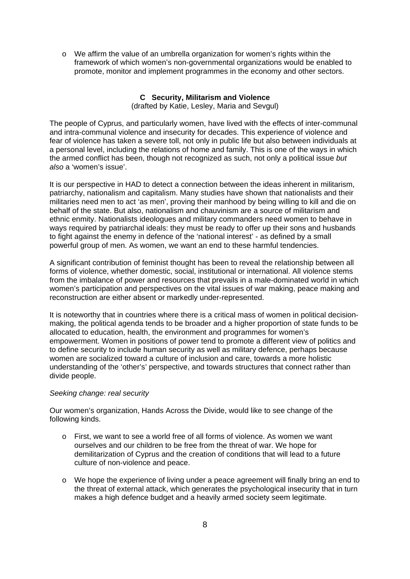o We affirm the value of an umbrella organization for women's rights within the framework of which women's non-governmental organizations would be enabled to promote, monitor and implement programmes in the economy and other sectors.

# **C Security, Militarism and Violence**

(drafted by Katie, Lesley, Maria and Sevgul)

The people of Cyprus, and particularly women, have lived with the effects of inter-communal and intra-communal violence and insecurity for decades. This experience of violence and fear of violence has taken a severe toll, not only in public life but also between individuals at a personal level, including the relations of home and family. This is one of the ways in which the armed conflict has been, though not recognized as such, not only a political issue *but also* a 'women's issue'.

It is our perspective in HAD to detect a connection between the ideas inherent in militarism, patriarchy, nationalism and capitalism. Many studies have shown that nationalists and their militaries need men to act 'as men', proving their manhood by being willing to kill and die on behalf of the state. But also, nationalism and chauvinism are a source of militarism and ethnic enmity. Nationalists ideologues and military commanders need women to behave in ways required by patriarchal ideals: they must be ready to offer up their sons and husbands to fight against the enemy in defence of the 'national interest' - as defined by a small powerful group of men. As women, we want an end to these harmful tendencies.

A significant contribution of feminist thought has been to reveal the relationship between all forms of violence, whether domestic, social, institutional or international. All violence stems from the imbalance of power and resources that prevails in a male-dominated world in which women's participation and perspectives on the vital issues of war making, peace making and reconstruction are either absent or markedly under-represented.

It is noteworthy that in countries where there is a critical mass of women in political decisionmaking, the political agenda tends to be broader and a higher proportion of state funds to be allocated to education, health, the environment and programmes for women's empowerment. Women in positions of power tend to promote a different view of politics and to define security to include human security as well as military defence, perhaps because women are socialized toward a culture of inclusion and care, towards a more holistic understanding of the 'other's' perspective, and towards structures that connect rather than divide people.

### *Seeking change: real security*

Our women's organization, Hands Across the Divide, would like to see change of the following kinds.

- o First, we want to see a world free of all forms of violence. As women we want ourselves and our children to be free from the threat of war. We hope for demilitarization of Cyprus and the creation of conditions that will lead to a future culture of non-violence and peace.
- o We hope the experience of living under a peace agreement will finally bring an end to the threat of external attack, which generates the psychological insecurity that in turn makes a high defence budget and a heavily armed society seem legitimate.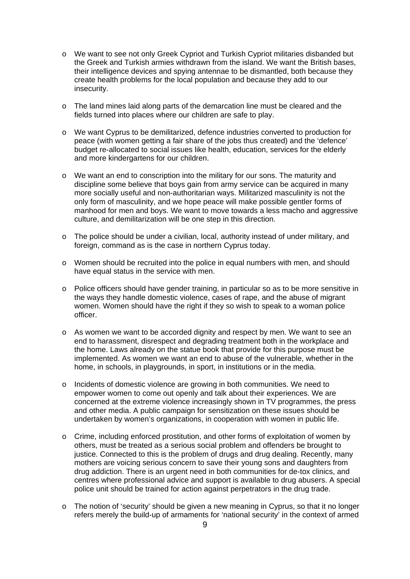- o We want to see not only Greek Cypriot and Turkish Cypriot militaries disbanded but the Greek and Turkish armies withdrawn from the island. We want the British bases, their intelligence devices and spying antennae to be dismantled, both because they create health problems for the local population and because they add to our insecurity.
- o The land mines laid along parts of the demarcation line must be cleared and the fields turned into places where our children are safe to play.
- o We want Cyprus to be demilitarized, defence industries converted to production for peace (with women getting a fair share of the jobs thus created) and the 'defence' budget re-allocated to social issues like health, education, services for the elderly and more kindergartens for our children.
- o We want an end to conscription into the military for our sons. The maturity and discipline some believe that boys gain from army service can be acquired in many more socially useful and non-authoritarian ways. Militarized masculinity is not the only form of masculinity, and we hope peace will make possible gentler forms of manhood for men and boys. We want to move towards a less macho and aggressive culture, and demilitarization will be one step in this direction.
- o The police should be under a civilian, local, authority instead of under military, and foreign, command as is the case in northern Cyprus today.
- o Women should be recruited into the police in equal numbers with men, and should have equal status in the service with men.
- o Police officers should have gender training, in particular so as to be more sensitive in the ways they handle domestic violence, cases of rape, and the abuse of migrant women. Women should have the right if they so wish to speak to a woman police officer.
- o As women we want to be accorded dignity and respect by men. We want to see an end to harassment, disrespect and degrading treatment both in the workplace and the home. Laws already on the statue book that provide for this purpose must be implemented. As women we want an end to abuse of the vulnerable, whether in the home, in schools, in playgrounds, in sport, in institutions or in the media.
- o Incidents of domestic violence are growing in both communities. We need to empower women to come out openly and talk about their experiences. We are concerned at the extreme violence increasingly shown in TV programmes, the press and other media. A public campaign for sensitization on these issues should be undertaken by women's organizations, in cooperation with women in public life.
- o Crime, including enforced prostitution, and other forms of exploitation of women by others, must be treated as a serious social problem and offenders be brought to justice. Connected to this is the problem of drugs and drug dealing. Recently, many mothers are voicing serious concern to save their young sons and daughters from drug addiction. There is an urgent need in both communities for de-tox clinics, and centres where professional advice and support is available to drug abusers. A special police unit should be trained for action against perpetrators in the drug trade.
- o The notion of 'security' should be given a new meaning in Cyprus, so that it no longer refers merely the build-up of armaments for 'national security' in the context of armed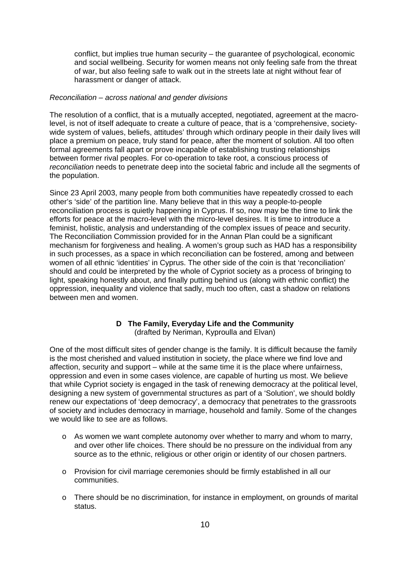conflict, but implies true human security – the guarantee of psychological, economic and social wellbeing. Security for women means not only feeling safe from the threat of war, but also feeling safe to walk out in the streets late at night without fear of harassment or danger of attack.

#### *Reconciliation – across national and gender divisions*

The resolution of a conflict, that is a mutually accepted, negotiated, agreement at the macrolevel, is not of itself adequate to create a culture of peace, that is a 'comprehensive, societywide system of values, beliefs, attitudes' through which ordinary people in their daily lives will place a premium on peace, truly stand for peace, after the moment of solution. All too often formal agreements fall apart or prove incapable of establishing trusting relationships between former rival peoples. For co-operation to take root, a conscious process of *reconciliation* needs to penetrate deep into the societal fabric and include all the segments of the population.

Since 23 April 2003, many people from both communities have repeatedly crossed to each other's 'side' of the partition line. Many believe that in this way a people-to-people reconciliation process is quietly happening in Cyprus. If so, now may be the time to link the efforts for peace at the macro-level with the micro-level desires. It is time to introduce a feminist, holistic, analysis and understanding of the complex issues of peace and security. The Reconciliation Commission provided for in the Annan Plan could be a significant mechanism for forgiveness and healing. A women's group such as HAD has a responsibility in such processes, as a space in which reconciliation can be fostered, among and between women of all ethnic 'identities' in Cyprus. The other side of the coin is that 'reconciliation' should and could be interpreted by the whole of Cypriot society as a process of bringing to light, speaking honestly about, and finally putting behind us (along with ethnic conflict) the oppression, inequality and violence that sadly, much too often, cast a shadow on relations between men and women.

#### **D The Family, Everyday Life and the Community**  (drafted by Neriman, Kyproulla and Elvan)

One of the most difficult sites of gender change is the family. It is difficult because the family is the most cherished and valued institution in society, the place where we find love and affection, security and support – while at the same time it is the place where unfairness, oppression and even in some cases violence, are capable of hurting us most. We believe that while Cypriot society is engaged in the task of renewing democracy at the political level, designing a new system of governmental structures as part of a 'Solution', we should boldly renew our expectations of 'deep democracy', a democracy that penetrates to the grassroots of society and includes democracy in marriage, household and family. Some of the changes we would like to see are as follows.

- o As women we want complete autonomy over whether to marry and whom to marry, and over other life choices. There should be no pressure on the individual from any source as to the ethnic, religious or other origin or identity of our chosen partners.
- o Provision for civil marriage ceremonies should be firmly established in all our communities.
- o There should be no discrimination, for instance in employment, on grounds of marital status.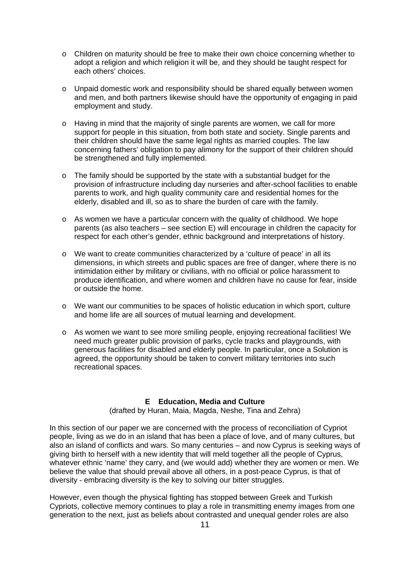- o Children on maturity should be free to make their own choice concerning whether to adopt a religion and which religion it will be, and they should be taught respect for each others' choices.
- o Unpaid domestic work and responsibility should be shared equally between women and men, and both partners likewise should have the opportunity of engaging in paid employment and study.
- $\circ$  Having in mind that the majority of single parents are women, we call for more support for people in this situation, from both state and society. Single parents and their children should have the same legal rights as married couples. The law concerning fathers' obligation to pay alimony for the support of their children should be strengthened and fully implemented.
- $\circ$  The family should be supported by the state with a substantial budget for the provision of infrastructure including day nurseries and after-school facilities to enable parents to work, and high quality community care and residential homes for the elderly, disabled and ill, so as to share the burden of care with the family.
- o As women we have a particular concern with the quality of childhood. We hope parents (as also teachers – see section E) will encourage in children the capacity for respect for each other's gender, ethnic background and interpretations of history.
- o We want to create communities characterized by a 'culture of peace' in all its dimensions, in which streets and public spaces are free of danger, where there is no intimidation either by military or civilians, with no official or police harassment to produce identification, and where women and children have no cause for fear, inside or outside the home.
- o We want our communities to be spaces of holistic education in which sport, culture and home life are all sources of mutual learning and development.
- o As women we want to see more smiling people, enjoying recreational facilities! We need much greater public provision of parks, cycle tracks and playgrounds, with generous facilities for disabled and elderly people. In particular, once a Solution is agreed, the opportunity should be taken to convert military territories into such recreational spaces.

# **E Education, Media and Culture**

(drafted by Huran, Maia, Magda, Neshe, Tina and Zehra)

In this section of our paper we are concerned with the process of reconciliation of Cypriot people, living as we do in an island that has been a place of love, and of many cultures, but also an island of conflicts and wars. So many centuries – and now Cyprus is seeking ways of giving birth to herself with a new identity that will meld together all the people of Cyprus, whatever ethnic 'name' they carry, and (we would add) whether they are women or men. We believe the value that should prevail above all others, in a post-peace Cyprus, is that of diversity - embracing diversity is the key to solving our bitter struggles.

However, even though the physical fighting has stopped between Greek and Turkish Cypriots, collective memory continues to play a role in transmitting enemy images from one generation to the next, just as beliefs about contrasted and unequal gender roles are also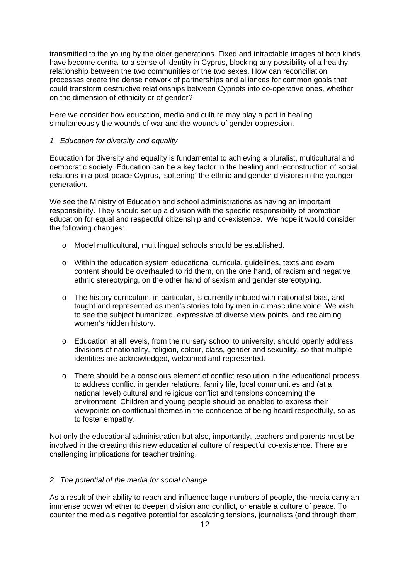transmitted to the young by the older generations. Fixed and intractable images of both kinds have become central to a sense of identity in Cyprus, blocking any possibility of a healthy relationship between the two communities or the two sexes. How can reconciliation processes create the dense network of partnerships and alliances for common goals that could transform destructive relationships between Cypriots into co-operative ones, whether on the dimension of ethnicity or of gender?

Here we consider how education, media and culture may play a part in healing simultaneously the wounds of war and the wounds of gender oppression.

## *1 Education for diversity and equality*

Education for diversity and equality is fundamental to achieving a pluralist, multicultural and democratic society. Education can be a key factor in the healing and reconstruction of social relations in a post-peace Cyprus, 'softening' the ethnic and gender divisions in the younger generation.

We see the Ministry of Education and school administrations as having an important responsibility. They should set up a division with the specific responsibility of promotion education for equal and respectful citizenship and co-existence. We hope it would consider the following changes:

- o Model multicultural, multilingual schools should be established.
- o Within the education system educational curricula, guidelines, texts and exam content should be overhauled to rid them, on the one hand, of racism and negative ethnic stereotyping, on the other hand of sexism and gender stereotyping.
- o The history curriculum, in particular, is currently imbued with nationalist bias, and taught and represented as men's stories told by men in a masculine voice. We wish to see the subject humanized, expressive of diverse view points, and reclaiming women's hidden history.
- o Education at all levels, from the nursery school to university, should openly address divisions of nationality, religion, colour, class, gender and sexuality, so that multiple identities are acknowledged, welcomed and represented.
- o There should be a conscious element of conflict resolution in the educational process to address conflict in gender relations, family life, local communities and (at a national level) cultural and religious conflict and tensions concerning the environment. Children and young people should be enabled to express their viewpoints on conflictual themes in the confidence of being heard respectfully, so as to foster empathy.

Not only the educational administration but also, importantly, teachers and parents must be involved in the creating this new educational culture of respectful co-existence. There are challenging implications for teacher training.

# *2 The potential of the media for social change*

As a result of their ability to reach and influence large numbers of people, the media carry an immense power whether to deepen division and conflict, or enable a culture of peace. To counter the media's negative potential for escalating tensions, journalists (and through them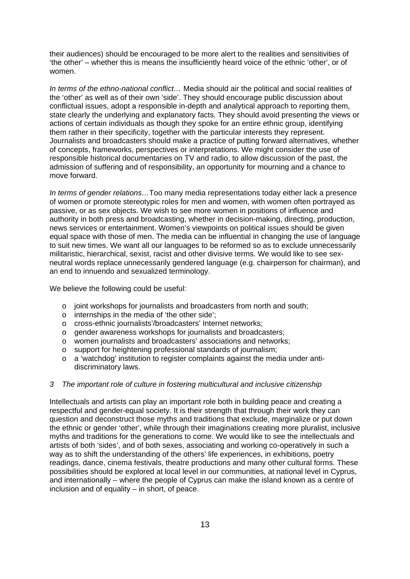their audiences) should be encouraged to be more alert to the realities and sensitivities of 'the other' – whether this is means the insufficiently heard voice of the ethnic 'other', or of women.

*In terms of the ethno-national conflict…* Media should air the political and social realities of the 'other' as well as of their own 'side'. They should encourage public discussion about conflictual issues, adopt a responsible in-depth and analytical approach to reporting them, state clearly the underlying and explanatory facts. They should avoid presenting the views or actions of certain individuals as though they spoke for an entire ethnic group, identifying them rather in their specificity, together with the particular interests they represent. Journalists and broadcasters should make a practice of putting forward alternatives, whether of concepts, frameworks, perspectives or interpretations. We might consider the use of responsible historical documentaries on TV and radio, to allow discussion of the past, the admission of suffering and of responsibility, an opportunity for mourning and a chance to move forward.

*In terms of gender relations…*Too many media representations today either lack a presence of women or promote stereotypic roles for men and women, with women often portrayed as passive, or as sex objects. We wish to see more women in positions of influence and authority in both press and broadcasting, whether in decision-making, directing, production, news services or entertainment. Women's viewpoints on political issues should be given equal space with those of men. The media can be influential in changing the use of language to suit new times. We want all our languages to be reformed so as to exclude unnecessarily militaristic, hierarchical, sexist, racist and other divisive terms. We would like to see sexneutral words replace unnecessarily gendered language (e.g. chairperson for chairman), and an end to innuendo and sexualized terminology.

We believe the following could be useful:

- o joint workshops for journalists and broadcasters from north and south;
- o internships in the media of 'the other side';
- o cross-ethnic journalists'/broadcasters' Internet networks;
- o gender awareness workshops for journalists and broadcasters;
- o women journalists and broadcasters' associations and networks;
- o support for heightening professional standards of journalism;
- o a 'watchdog' institution to register complaints against the media under antidiscriminatory laws.

#### *3 The important role of culture in fostering multicultural and inclusive citizenship*

Intellectuals and artists can play an important role both in building peace and creating a respectful and gender-equal society. It is their strength that through their work they can question and deconstruct those myths and traditions that exclude, marginalize or put down the ethnic or gender 'other', while through their imaginations creating more pluralist, inclusive myths and traditions for the generations to come. We would like to see the intellectuals and artists of both 'sides', and of both sexes, associating and working co-operatively in such a way as to shift the understanding of the others' life experiences, in exhibitions, poetry readings, dance, cinema festivals, theatre productions and many other cultural forms. These possibilities should be explored at local level in our communities, at national level in Cyprus, and internationally – where the people of Cyprus can make the island known as a centre of inclusion and of equality – in short, of peace.